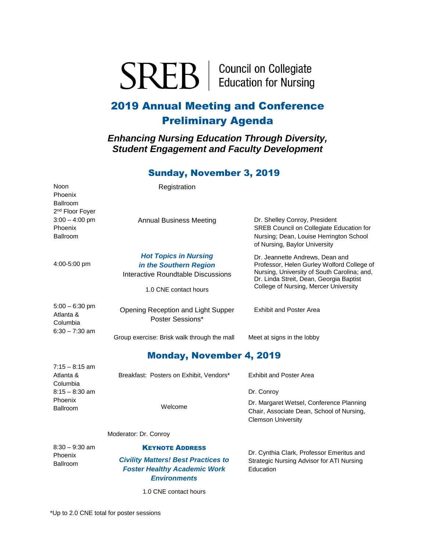**SREB** | Council on Collegiate

# 2019 Annual Meeting and Conference Preliminary Agenda

*Enhancing Nursing Education Through Diversity, Student Engagement and Faculty Development*

## Sunday, November 3, 2019

Noon Phoenix Ballroom 2<sup>nd</sup> Floor Foyer Registration  $3:00 - 4:00$  pm Phoenix Ballroom 4:00-5:00 pm Annual Business Meeting *Hot Topics in Nursing in the Southern Region* Interactive Roundtable Discussions 1.0 CNE contact hours Dr. Shelley Conroy, President SREB Council on Collegiate Education for Nursing; Dean, Louise Herrington School of Nursing, Baylor University Dr. Jeannette Andrews, Dean and Professor, Helen Gurley Wolford College of Nursing, University of South Carolina; and, Dr. Linda Streit, Dean, Georgia Baptist College of Nursing, Mercer University 5:00 – 6:30 pm Atlanta & Columbia Opening Reception and Light Supper Poster Sessions\* Exhibit and Poster Area  $6:30 - 7:30$  am Group exercise: Brisk walk through the mall Meet at signs in the lobby Monday, November 4, 2019  $7:15 - 8:15$  am Atlanta & Columbia Breakfast: Posters on Exhibit, Vendors\* Exhibit and Poster Area 8:15 – 8:30 am Phoenix Ballroom Welcome Dr. Conroy Dr. Margaret Wetsel, Conference Planning Chair, Associate Dean, School of Nursing, Clemson University 8:30 – 9:30 am Phoenix Ballroom Moderator: Dr. Conroy KEYNOTE ADDRESS *Civility Matters! Best Practices to Foster Healthy Academic Work Environments* Dr. Cynthia Clark, Professor Emeritus and Strategic Nursing Advisor for ATI Nursing Education

1.0 CNE contact hours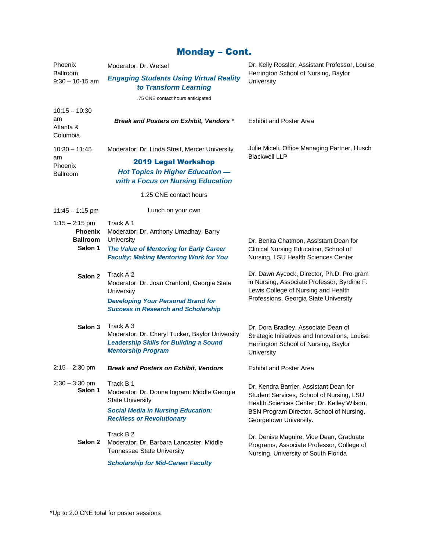# Monday – Cont.

| Phoenix<br>Ballroom<br>$9:30 - 10 - 15$ am                       | Moderator: Dr. Wetsel                                                                                                                                                | Dr. Kelly Rossler, Assistant Professor, Louise                                                                                                                                                         |  |  |
|------------------------------------------------------------------|----------------------------------------------------------------------------------------------------------------------------------------------------------------------|--------------------------------------------------------------------------------------------------------------------------------------------------------------------------------------------------------|--|--|
|                                                                  | <b>Engaging Students Using Virtual Reality</b><br>to Transform Learning                                                                                              | Herrington School of Nursing, Baylor<br>University                                                                                                                                                     |  |  |
|                                                                  | .75 CNE contact hours anticipated                                                                                                                                    |                                                                                                                                                                                                        |  |  |
| $10:15 - 10:30$<br>am<br>Atlanta &<br>Columbia                   | Break and Posters on Exhibit, Vendors*                                                                                                                               | <b>Exhibit and Poster Area</b>                                                                                                                                                                         |  |  |
| $10:30 - 11:45$<br>am<br>Phoenix<br><b>Ballroom</b>              | Moderator: Dr. Linda Streit, Mercer University                                                                                                                       | Julie Miceli, Office Managing Partner, Husch                                                                                                                                                           |  |  |
|                                                                  | <b>2019 Legal Workshop</b><br><b>Hot Topics in Higher Education --</b><br>with a Focus on Nursing Education                                                          | <b>Blackwell LLP</b>                                                                                                                                                                                   |  |  |
|                                                                  | 1.25 CNE contact hours                                                                                                                                               |                                                                                                                                                                                                        |  |  |
| $11:45 - 1:15$ pm                                                | Lunch on your own                                                                                                                                                    |                                                                                                                                                                                                        |  |  |
| $1:15 - 2:15$ pm<br><b>Phoenix</b><br><b>Ballroom</b><br>Salon 1 | Track A 1<br>Moderator: Dr. Anthony Umadhay, Barry<br>University<br>The Value of Mentoring for Early Career<br><b>Faculty: Making Mentoring Work for You</b>         | Dr. Benita Chatmon, Assistant Dean for<br>Clinical Nursing Education, School of<br>Nursing, LSU Health Sciences Center                                                                                 |  |  |
| Salon <sub>2</sub>                                               | Track A 2<br>Moderator: Dr. Joan Cranford, Georgia State<br>University<br><b>Developing Your Personal Brand for</b><br><b>Success in Research and Scholarship</b>    | Dr. Dawn Aycock, Director, Ph.D. Pro-gram<br>in Nursing, Associate Professor, Byrdine F.<br>Lewis College of Nursing and Health<br>Professions, Georgia State University                               |  |  |
| Salon 3                                                          | Track A 3<br>Moderator: Dr. Cheryl Tucker, Baylor University<br><b>Leadership Skills for Building a Sound</b><br><b>Mentorship Program</b>                           | Dr. Dora Bradley, Associate Dean of<br>Strategic Initiatives and Innovations, Louise<br>Herrington School of Nursing, Baylor<br>University                                                             |  |  |
| $2:15 - 2:30$ pm                                                 | <b>Break and Posters on Exhibit, Vendors</b>                                                                                                                         | <b>Exhibit and Poster Area</b>                                                                                                                                                                         |  |  |
| $2:30 - 3:30$ pm<br>Salon 1                                      | Track B 1<br>Moderator: Dr. Donna Ingram: Middle Georgia<br><b>State University</b><br><b>Social Media in Nursing Education:</b><br><b>Reckless or Revolutionary</b> | Dr. Kendra Barrier, Assistant Dean for<br>Student Services, School of Nursing, LSU<br>Health Sciences Center; Dr. Kelley Wilson,<br>BSN Program Director, School of Nursing,<br>Georgetown University. |  |  |
| Salon 2                                                          | Track B <sub>2</sub><br>Moderator: Dr. Barbara Lancaster, Middle<br><b>Tennessee State University</b><br><b>Scholarship for Mid-Career Faculty</b>                   | Dr. Denise Maguire, Vice Dean, Graduate<br>Programs, Associate Professor, College of<br>Nursing, University of South Florida                                                                           |  |  |
|                                                                  |                                                                                                                                                                      |                                                                                                                                                                                                        |  |  |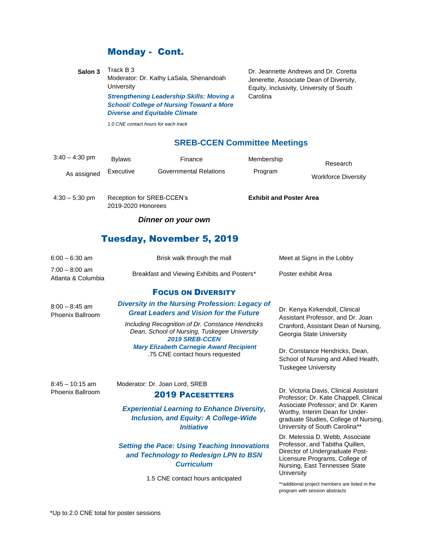### Monday - Cont.

**Salon 3** Track B 3 Moderator: Dr. Kathy LaSala, Shenandoah **University** *Strengthening Leadership Skills: Moving a School/ College of Nursing Toward a More* 

*Diverse and Equitable Climate*

Dr. Jeannette Andrews and Dr. Coretta Jenerette, Associate Dean of Diversity, Equity, Inclusivity, University of South **Carolina** 

*1.0 CNE contact hours for each track*

#### **SREB-CCEN Committee Meetings**

| $3:40 - 4:30$ pm                       | <b>Bylaws</b>                                   | Finance                       | Membership                     | Research                   |  |  |  |
|----------------------------------------|-------------------------------------------------|-------------------------------|--------------------------------|----------------------------|--|--|--|
| As assigned                            | Executive                                       | <b>Governmental Relations</b> | Program                        | <b>Workforce Diversity</b> |  |  |  |
| $4:30 - 5:30$ pm                       | Reception for SREB-CCEN's<br>2019-2020 Honorees |                               | <b>Exhibit and Poster Area</b> |                            |  |  |  |
| Dinner on your own                     |                                                 |                               |                                |                            |  |  |  |
| <b>Tuesday, November 5, 2019</b>       |                                                 |                               |                                |                            |  |  |  |
| $6:00 - 6:30$ am                       | Brisk walk through the mall                     |                               |                                | Meet at Signs in the Lobby |  |  |  |
| $7:00 - 8:00$ am<br>Atlanta & Columbia | Breakfast and Viewing Exhibits and Posters*     |                               |                                | Poster exhibit Area        |  |  |  |

#### FOCUS ON DIVERSITY

8:00 – 8:45 am Phoenix Ballroom

#### *Diversity in the Nursing Profession: Legacy of Great Leaders and Vision for the Future*

*Including Recognition of Dr. Constance Hendricks Dean, School of Nursing, Tuskegee University 2019 SREB-CCEN Mary Elizabeth Carnegie Award Recipient* .75 CNE contact hours requested

8:45 – 10:15 am Phoenix Ballroom

#### Moderator: Dr. Joan Lord, SREB

#### 2019 PACESETTERS

*Experiential Learning to Enhance Diversity, Inclusion, and Equity: A College-Wide Initiative*

*Setting the Pace: Using Teaching Innovations and Technology to Redesign LPN to BSN Curriculum* 

1.5 CNE contact hours anticipated

Dr. Kenya Kirkendoll, Clinical Assistant Professor, and Dr. Joan Cranford, Assistant Dean of Nursing, Georgia State University

Dr. Constance Hendricks, Dean, School of Nursing and Allied Health, Tuskegee University

Dr. Victoria Davis, Clinical Assistant Professor; Dr. Kate Chappell, Clinical Associate Professor; and Dr. Karen Worthy, Interim Dean for Undergraduate Studies, College of Nursing, University of South Carolina\*\*

Dr. Melessia D. Webb, Associate Professor, and Tabitha Quillen, Director of Undergraduate Post-Licensure Programs, College of Nursing, East Tennessee State **University** 

\*\*additional project members are listed in the program with session abstracts